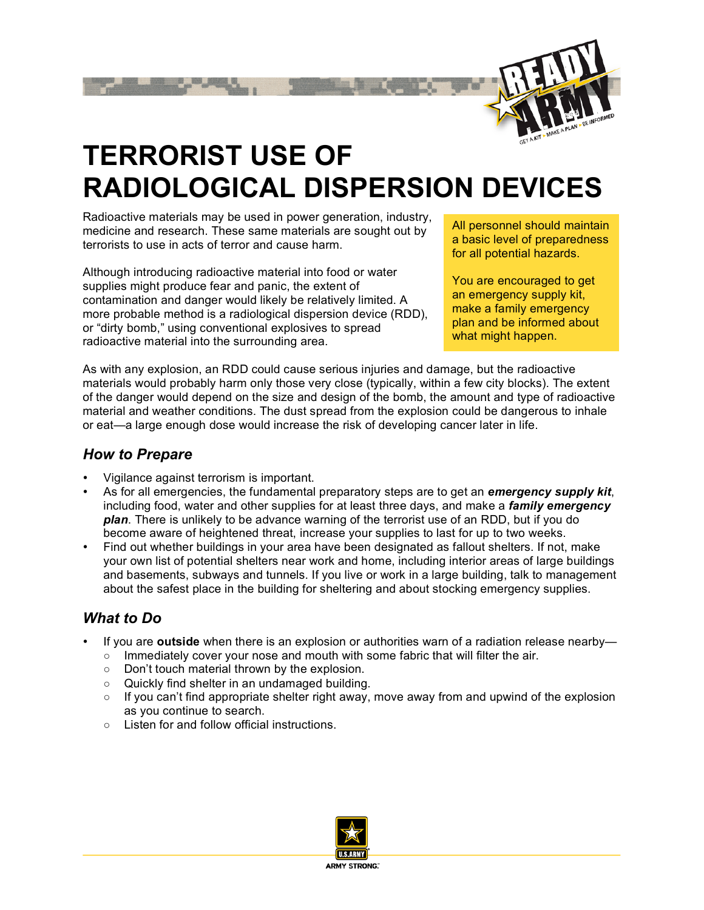

# **TERRORIST USE OF RADIOLOGICAL DISPERSION DEVICES**

Radioactive materials may be used in power generation, industry, medicine and research. These same materials are sought out by terrorists to use in acts of terror and cause harm.

Although introducing radioactive material into food or water supplies might produce fear and panic, the extent of contamination and danger would likely be relatively limited. A more probable method is a radiological dispersion device (RDD), or "dirty bomb," using conventional explosives to spread radioactive material into the surrounding area.

All personnel should maintain a basic level of preparedness for all potential hazards.

You are encouraged to get an emergency supply kit, make a family emergency plan and be informed about what might happen.

As with any explosion, an RDD could cause serious injuries and damage, but the radioactive materials would probably harm only those very close (typically, within a few city blocks). The extent of the danger would depend on the size and design of the bomb, the amount and type of radioactive material and weather conditions. The dust spread from the explosion could be dangerous to inhale or eat—a large enough dose would increase the risk of developing cancer later in life.

#### *How to Prepare*

- Vigilance against terrorism is important.
- As for all emergencies, the fundamental preparatory steps are to get an *emergency supply kit*, including food, water and other supplies for at least three days, and make a *family emergency plan*. There is unlikely to be advance warning of the terrorist use of an RDD, but if you do become aware of heightened threat, increase your supplies to last for up to two weeks.
- Find out whether buildings in your area have been designated as fallout shelters. If not, make your own list of potential shelters near work and home, including interior areas of large buildings and basements, subways and tunnels. If you live or work in a large building, talk to management about the safest place in the building for sheltering and about stocking emergency supplies.

### *What to Do*

- If you are **outside** when there is an explosion or authorities warn of a radiation release nearby—
	- Immediately cover your nose and mouth with some fabric that will filter the air.
	- Don't touch material thrown by the explosion.
	- Quickly find shelter in an undamaged building.
	- $\circ$  If you can't find appropriate shelter right away, move away from and upwind of the explosion as you continue to search.
	- Listen for and follow official instructions.